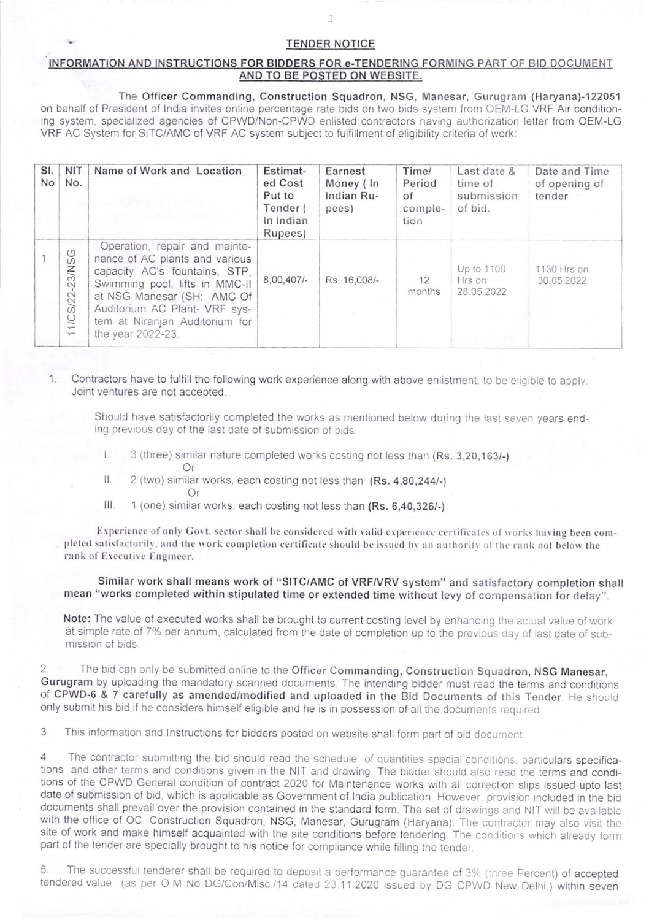## **TENDER NOTICE**

## INFORMATION AND INSTRUCTIONS FOR BIDDERS FOR e-TENDERING FORMING PART OF BID DOCUMENT AND TO BE POSTED ON WEBSITE.

The Officer Commanding, Construction Squadron, NSG, Manesar, Gurugram (Haryana)-122051 on behalf of President of India invites online percentage rate bids on two bids system from OEM-LG VRF Air conditioning system, specialized agencies of CPWD/Non-CPWD enlisted contractors having authorization letter from OEM-LG VRF AC System for SITC/AMC of VRF AC system subject to fulfillment of eligibility criteria of work:

| SI.<br><b>No</b> | <b>NIT</b><br>No. | Name of Work and Location                                                                                                                                                                                                                                | Estimat-<br>ed Cost<br>Put to<br>Tender (<br>In Indian<br>Rupees) | Earnest<br>Money (In<br>Indian Ru-<br>pees) | Time/<br>Period<br>of<br>comple-<br>tion | Last date &<br>time of<br>submission<br>of bid. | Date and Time<br>of opening of<br>tender |
|------------------|-------------------|----------------------------------------------------------------------------------------------------------------------------------------------------------------------------------------------------------------------------------------------------------|-------------------------------------------------------------------|---------------------------------------------|------------------------------------------|-------------------------------------------------|------------------------------------------|
|                  | 11/CS/22-23/NSG   | Operation, repair and mainte-<br>nance of AC plants and various<br>capacity AC's fountains, STP,<br>Swimming pool, lifts in MMC-II<br>at NSG Manesar (SH: AMC Of<br>Auditorium AC Plant- VRF sys-<br>tem at Niranjan Auditorium for<br>the year 2022-23. | 8,00,407                                                          | Rs. 16,008/-                                | 12<br>months                             | Up to 1100<br>Hrs on<br>28.05.2022              | 1130 Hrs on<br>30.05.2022                |

Contractors have to fulfill the following work experience along with above enlistment, to be eligible to apply.  $\mathbf{1}$ Joint ventures are not accepted.

Should have satisfactorily completed the works as mentioned below during the last seven years ending previous day of the last date of submission of bids.

- 3 (three) similar nature completed works costing not less than (Rs. 3,20,163/-)
- Ħ 2 (two) similar works, each costing not less than (Rs. 4,80,244/-)
	- Or

Or

Ш. 1 (one) similar works, each costing not less than (Rs. 6,40,326/-)

Experience of only Govt. sector shall be considered with valid experience certificates of works having been completed satisfactorily, and the work completion certificate should be issued by an authority of the rank not below the rank of Executive Engineer.

Similar work shall means work of "SITC/AMC of VRF/VRV system" and satisfactory completion shall mean "works completed within stipulated time or extended time without levy of compensation for delay".

Note: The value of executed works shall be brought to current costing level by enhancing the actual value of work at simple rate of 7% per annum, calculated from the date of completion up to the previous day of last date of submission of bids.

The bid can only be submitted online to the Officer Commanding, Construction Squadron, NSG Manesar, Gurugram by uploading the mandatory scanned documents. The intending bidder must read the terms and conditions of CPWD-6 & 7 carefully as amended/modified and uploaded in the Bid Documents of this Tender. He should only submit his bid if he considers himself eligible and he is in possession of all the documents required.

3 This information and Instructions for bidders posted on website shall form part of bid document.

The contractor submitting the bid should read the schedule of quantities special conditions, particulars specifica- $\overline{4}$ tions and other terms and conditions given in the NIT and drawing. The bidder should also read the terms and conditions of the CPWD General condition of contract 2020 for Maintenance works with all correction slips issued upto last date of submission of bid, which is applicable as Government of India publication. However, provision included in the bid documents shall prevail over the provision contained in the standard form. The set of drawings and NIT will be available with the office of OC, Construction Squadron, NSG, Manesar, Gurugram (Haryana). The contractor may also visit the site of work and make himself acquainted with the site conditions before tendering. The conditions which already form part of the tender are specially brought to his notice for compliance while filling the tender.

5 The successful tenderer shall be required to deposit a performance guarantee of 3% (three Percent) of accepted tendered value (as per O.M No DG/Con/Misc./14 dated 23.11.2020 issued by DG CPWD New Delhi.) within seven